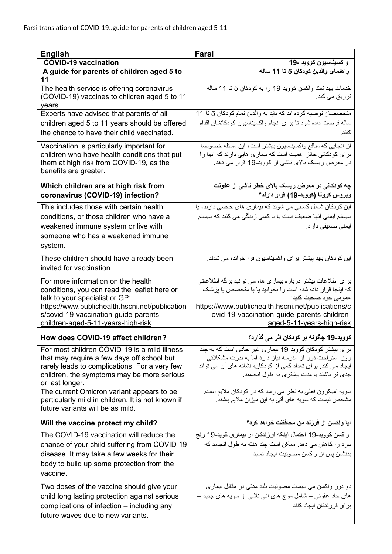| <b>English</b>                                                                                                                                                                                                                                        | Farsi                                                                                                                                                                                                                                                                               |
|-------------------------------------------------------------------------------------------------------------------------------------------------------------------------------------------------------------------------------------------------------|-------------------------------------------------------------------------------------------------------------------------------------------------------------------------------------------------------------------------------------------------------------------------------------|
| <b>COVID-19 vaccination</b>                                                                                                                                                                                                                           | واكسيناسيون كوويد -19                                                                                                                                                                                                                                                               |
| A guide for parents of children aged 5 to<br>11                                                                                                                                                                                                       | راهنمای والدین کودکان 5 تا 11 ساله                                                                                                                                                                                                                                                  |
| The health service is offering coronavirus<br>(COVID-19) vaccines to children aged 5 to 11<br>years.                                                                                                                                                  | خدمات بهداشت واكسن كوويد-19 را به كودكان 5 تا 11 ساله<br>تزریق <i>می</i> کند.                                                                                                                                                                                                       |
| Experts have advised that parents of all<br>children aged 5 to 11 years should be offered<br>the chance to have their child vaccinated.                                                                                                               | متخصصان توصيه كرده اند كه بايد به والدين تمام كودكان 5 تا 11<br>ساله فرصت داده شود تا براي انجام واكسيناسيون كودكانشان اقدام<br>كنند                                                                                                                                                |
| Vaccination is particularly important for<br>children who have health conditions that put<br>them at high risk from COVID-19, as the<br>benefits are greater.                                                                                         | از أنجایی که منافع واکسیناسیون بیشتر است، این مسئله خصوصا<br>برای کودکانی حائز اهمیت است که بیماری هایی دارند که آنها را<br>در معرض ریسک بالای ناشی از کووید-19 قرار می دهد.                                                                                                        |
| Which children are at high risk from<br>coronavirus (COVID-19) infection?                                                                                                                                                                             | چه کودکانی در معرض ریسک بالای خطر ناشی از عفونت<br>ويروس كرونا (كوويد-19) قرار دارند؟                                                                                                                                                                                               |
| This includes those with certain health                                                                                                                                                                                                               | این کو دکان شامل کسانی می شوند که بیماری های خاصبی دارند، یا                                                                                                                                                                                                                        |
| conditions, or those children who have a                                                                                                                                                                                                              | سیستم ایمنی آنها ضعیف است یا با کسی زندگی می کنند که سیستم                                                                                                                                                                                                                          |
| weakened immune system or live with<br>someone who has a weakened immune<br>system.                                                                                                                                                                   | ایمنی ضعیفی دار د.                                                                                                                                                                                                                                                                  |
| These children should have already been<br>invited for vaccination.                                                                                                                                                                                   | این کودکان باید پیشتر برای واکسیناسیون فرا خوانده می شدند.                                                                                                                                                                                                                          |
| For more information on the health<br>conditions, you can read the leaflet here or<br>talk to your specialist or GP:<br>https://www.publichealth.hscni.net/publication<br>s/covid-19-vaccination-guide-parents-<br>children-aged-5-11-years-high-risk | بر ای اطلاعات بیشتر درباره بیماری ها، می توانید برگه اطلاعاتی<br>که اینجا قرار داده شده است را بخوانید یا با متخصص یا پزشک<br>عمومي خود صحبت كنيد:<br>https://www.publichealth.hscni.net/publications/c<br>ovid-19-vaccination-guide-parents-children-<br>aged-5-11-years-high-risk |
| How does COVID-19 affect children?                                                                                                                                                                                                                    | كوويد-19 چگونه بر كودكان اثر مى گذارد؟                                                                                                                                                                                                                                              |
| For most children COVID-19 is a mild illness<br>that may require a few days off school but<br>rarely leads to complications. For a very few<br>children, the symptoms may be more serious<br>or last longer.                                          | بر ای بیشتر کودکان کووید-19 بیماری غیر حادی است که به جند<br>روز استراحت دور از مدرسه نیاز دارد اما به ندرت مشکلاتی<br>ایجاد می کند. بر ای تعداد کمی از کودکان، نشانه های آن می تواند<br>جدی تر باشند یا مدت بیشتری به طول انجامند.                                                 |
| The current Omicron variant appears to be<br>particularly mild in children. It is not known if<br>future variants will be as mild.                                                                                                                    | سویه امیکرون فعلی به نظر می رسد که در کودکان ملایم است.<br>مشخص نیست که سویه های آتی به این میز ان ملایم باشند.                                                                                                                                                                     |
| Will the vaccine protect my child?                                                                                                                                                                                                                    | آيا واكسن از فرزند من محافظت خواهد كرد؟                                                                                                                                                                                                                                             |
| The COVID-19 vaccination will reduce the<br>chance of your child suffering from COVID-19<br>disease. It may take a few weeks for their<br>body to build up some protection from the<br>vaccine.                                                       | واكسن كوويد-19 احتمال اينكه فرزندتان از بيماري كويد-19 رنج<br>ببرد را كاهش مى دهد. ممكن است جند هفته به طول انجامد كه<br>بدنشان بس از واكسن مصونيت ايجاد نمايد.                                                                                                                     |
| Two doses of the vaccine should give your<br>child long lasting protection against serious<br>complications of infection – including any<br>future waves due to new variants.                                                                         | دو دوز واکسن می بایست مصونیت بلند مدتی در مقابل بیماری<br>های حاد عفونبی – شامل موج های أتبی ناشبی از سویه های جدید –<br>بر ای فر زندتان ایجاد کنند.                                                                                                                                |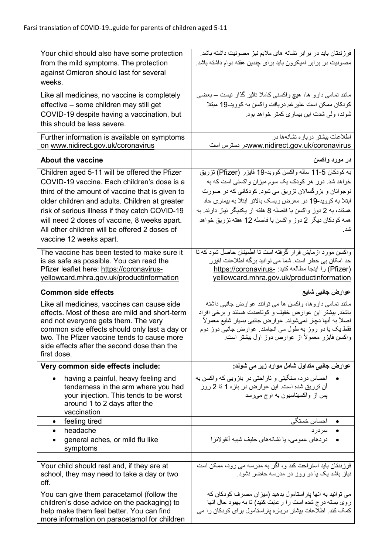| Your child should also have some protection<br>from the mild symptoms. The protection             | فرزندتان باید در برابر نشانه های ملایم نیز مصونیت داشته باشد.<br>مصونیت در برابر امیکرون باید برای چندین هفته دوام داشته باشد. |
|---------------------------------------------------------------------------------------------------|--------------------------------------------------------------------------------------------------------------------------------|
| against Omicron should last for several                                                           |                                                                                                                                |
| weeks.                                                                                            |                                                                                                                                |
| Like all medicines, no vaccine is completely                                                      | مانند تمامی دارو ها، هیچ واکسنی کاملا ناثیر گذار نیست – بعضی                                                                   |
| effective - some children may still get                                                           | كودكان ممكن است علير غم دريافت واكسن به كوويد-19 مبتلا                                                                         |
| COVID-19 despite having a vaccination, but<br>this should be less severe.                         | شوند، ولي شدت اين بيماري كمتر خواهد بود.                                                                                       |
|                                                                                                   |                                                                                                                                |
| Further information is available on symptoms<br>on www.nidirect.gov.uk/coronavirus                | اطلاعات بیشتر در باره نشانهها در<br>www.nidirect.gov.uk/coronavirusدر دسترس است                                                |
| <b>About the vaccine</b>                                                                          | در مورد واکسن                                                                                                                  |
| Children aged 5-11 will be offered the Pfizer                                                     | به كودكان 5-11 ساله واكسن كوويد-19 فايزر (Pfizer) تزريق                                                                        |
| COVID-19 vaccine. Each children's dose is a                                                       | خواهد شد. دوز هر کودک یک سوم میزان واکسنی است که به                                                                            |
| third of the amount of vaccine that is given to<br>older children and adults. Children at greater | نوجوانان و بزرگسالان تزریق می شود. کودکانی که در صورت<br>ابتلا به کووید-19 در معرض ریسک بالاتر ابتلا به بیماری حاد             |
| risk of serious illness if they catch COVID-19                                                    | هستند، به 2 دوز واکسن با فاصله 8 هفته از یکدیگر نیاز دارند. به                                                                 |
| will need 2 doses of vaccine, 8 weeks apart.                                                      | همه کودکان دیگر 2 دوز واکسن با فاصله 12 هفته تزریق خواهد                                                                       |
| All other children will be offered 2 doses of                                                     | شد.                                                                                                                            |
| vaccine 12 weeks apart.                                                                           |                                                                                                                                |
| The vaccine has been tested to make sure it                                                       | واکسن مورد أزمایش قرار گرفته است نا اطمینان حاصل شود که نا                                                                     |
| is as safe as possible. You can read the                                                          | حد امکان بی خطر است. شما می توانید برگه اطلاعات فایزر                                                                          |
| Pfizer leaflet here: https://coronavirus-<br>yellowcard.mhra.gov.uk/productinformation            | (Pfizer) را اينجا مطالعه كنيد: -https://coronavirus<br>yellowcard.mhra.gov.uk/productinformation                               |
|                                                                                                   |                                                                                                                                |
|                                                                                                   |                                                                                                                                |
| <b>Common side effects</b>                                                                        | عوارض جانب <i>ی</i> شایع                                                                                                       |
| Like all medicines, vaccines can cause side                                                       | مانند تمامی داروها، واکسن ها می توانند عوارض جانبی داشته                                                                       |
| effects. Most of these are mild and short-term                                                    | باشند. بیشتر این عوارض خفیف و کوتاممدت هستند و برخی افراد                                                                      |
| and not everyone gets them. The very<br>common side effects should only last a day or             | اصلاً به أنها دچار نميشوند. عوارض جانبي بسيار شايع معمولاً<br>فقط یک یا دو روز به طول می انجامند. عوارض جانبی دوز دوم          |
| two. The Pfizer vaccine tends to cause more                                                       | واكسن فايزر معمولاً از عوارض دوز اول بيشتر است.                                                                                |
| side effects after the second dose than the<br>first dose.                                        |                                                                                                                                |
| Very common side effects include:                                                                 | عوارض جانبی متداول شامل موارد زیر می شوند:                                                                                     |
| having a painful, heavy feeling and                                                               | احساس درد، سنگینی و ناراحتی در بازویی که واکسن به                                                                              |
| tenderness in the arm where you had                                                               | آن نزریق شده است. این عوارض در بازه 1 تا 2 روز                                                                                 |
| your injection. This tends to be worst<br>around 1 to 2 days after the                            | پس از واکسیناسیون به اوج مهرسد                                                                                                 |
| vaccination                                                                                       |                                                                                                                                |
| feeling tired<br>$\bullet$                                                                        | • احساس خستگی                                                                                                                  |
| headache<br>$\bullet$                                                                             | • سردرد                                                                                                                        |
| general aches, or mild flu like<br>$\bullet$<br>symptoms                                          | در دهای عمومی، یا نشانههای خفیف شبیه آنفولانز ا                                                                                |
|                                                                                                   |                                                                                                                                |
| Your child should rest and, if they are at                                                        | فرزندتان باید استراحت کند و ، اگر به مدرسه می رود، ممکن است                                                                    |
| school, they may need to take a day or two<br>off.                                                | نیاز باشد یک یا دو روز در مدرسه حاضر نشود.                                                                                     |
| You can give them paracetamol (follow the                                                         | می توانید به آنها پاراستامول بدهید (میزان مصرف کودکان که                                                                       |
| children's dose advice on the packaging) to<br>help make them feel better. You can find           | روی بسته درج شده است را رعایت کنید) تا به بهبود حال آنها<br>کمک کند. اطلاعات بیشتر درباره بار استامول برای کودکان را می        |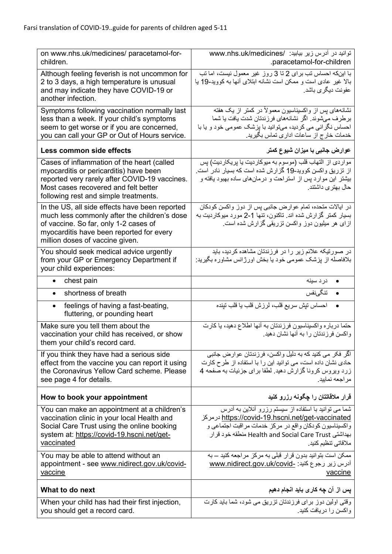| on www.nhs.uk/medicines/ paracetamol-for-<br>children.                                                                                                                                                                 | توانيد در آدرس زير بيابيد: /www.nhs.uk/medicines<br>.paracetamol-for-children                                                                                                                                                                            |
|------------------------------------------------------------------------------------------------------------------------------------------------------------------------------------------------------------------------|----------------------------------------------------------------------------------------------------------------------------------------------------------------------------------------------------------------------------------------------------------|
| Although feeling feverish is not uncommon for<br>2 to 3 days, a high temperature is unusual<br>and may indicate they have COVID-19 or<br>another infection.                                                            | با اینکه احساس تب برای 2 تا 3 روز غیر معمول نیست، اما تب<br>بالا غیر عادی است و ممکن است نشانه ابتلای أنها به کووید-19 یا<br>عفونت ديگر ي باشد.                                                                                                          |
| Symptoms following vaccination normally last<br>less than a week. If your child's symptoms<br>seem to get worse or if you are concerned,<br>you can call your GP or Out of Hours service.                              | نشانههای بس از واکسیناسیون معمولاً در کمتر از یک هفته<br>برطرف میشوند. اگر نشانههای فرزندتان شدت یافت یا شما<br>احساس نگرانی می کردید، میتوانید با بزشک عمومی خود و یا با<br>خدمات خارج از ساعات اداری تماس بگیرید.                                      |
| Less common side effects                                                                                                                                                                                               | عوارض جانبی با میزان شیوع کمتر                                                                                                                                                                                                                           |
| Cases of inflammation of the heart (called<br>myocarditis or pericarditis) have been<br>reported very rarely after COVID-19 vaccines.<br>Most cases recovered and felt better<br>following rest and simple treatments. | مواردي از التهاب قلب (موسوم به ميوكارديت يا پريكارديت) پس<br>از تزریق واکسن کووید-19 گزارش شده است که بسیار نادر است.<br>بیشتر این موارد پس از استراحت و درمانهای ساده بهبود یافته و<br>حال بهتر <i>ی</i> داشتند.                                        |
| In the US, all side effects have been reported<br>much less commonly after the children's dose<br>of vaccine. So far, only 1-2 cases of<br>myocarditis have been reported for every<br>million doses of vaccine given. | در ایالات متحده، تمام عوارض جانبی پس از دوز واکسن کودکان<br>بسیار کمتر گزارش شده اند. تاکنون، تنها 1-2 مورد میوکاردیت به<br>ازای هر میلیون دوز واکسن تزریقی گزارش شده است.                                                                               |
| You should seek medical advice urgently<br>from your GP or Emergency Department if<br>your child experiences:                                                                                                          | در صورتیکه علائم زیر را در فرزندتان مشاهده کردید، باید<br>بلافاصله از پزشک عمومی خود یا بخش اورژانس مشاوره بگیرید:                                                                                                                                       |
| chest pain<br>٠                                                                                                                                                                                                        | در د سينه<br>$\bullet$                                                                                                                                                                                                                                   |
| shortness of breath<br>$\bullet$                                                                                                                                                                                       | تنگىنفس<br>$\bullet$                                                                                                                                                                                                                                     |
| feelings of having a fast-beating,<br>$\bullet$<br>fluttering, or pounding heart                                                                                                                                       | احساس تيش سريع قلب، لرزش قلب يا قلب تينده                                                                                                                                                                                                                |
| Make sure you tell them about the<br>vaccination your child has received, or show<br>them your child's record card.                                                                                                    | حتما درباره واكسيناسيون فرزندتان به أنها اطلاع دهيد، يا كارت<br>واکسن فرزندتان را به آنها نشان دهید.                                                                                                                                                     |
| If you think they have had a serious side<br>effect from the vaccine you can report it using<br>the Coronavirus Yellow Card scheme. Please<br>see page 4 for details.                                                  | اگر فکر می کنید که به دلیل واکسن، فرزندتان عوارض جانبی<br>حادی نشان داده است، می توانید این را با استفاده از طرح کارت<br>زرد ویروس کرونا گزارش دهید. لطفا برای جزئیات به صفحه 4<br>مر اجعه نماييد.                                                       |
| How to book your appointment                                                                                                                                                                                           | قرار ملاقاتتان را چگونه رزرو کنید                                                                                                                                                                                                                        |
| You can make an appointment at a children's<br>vaccination clinic in your local Health and<br>Social Care Trust using the online booking<br>system at: https://covid-19.hscni.net/get-<br>vaccinated                   | شما می توانید با استفاده از سیستم رزرو آنلاین به آدرس<br><u>https://covid-19.hscni.net/get-vaccinated درمرکز</u><br>واکسیناسیون کودکان واقع در مرکز خدمات مراقبت اجتماعی و<br>بهداشتی Health and Social Care Trust منطقه خود قرار<br>ملاقاتی تنظیم کنید. |
| You may be able to attend without an<br>appointment - see www.nidirect.gov.uk/covid-<br>vaccine                                                                                                                        | ممکن است بتوانید بدون قرار قبلی به مرکز مراجعه کنید ــ به<br>آدرس زیر رجوع کنید: _www.nidirect.gov.uk/covid<br>vaccine                                                                                                                                   |
| What to do next                                                                                                                                                                                                        | پس از آن چه کاری باید انجام دهیم                                                                                                                                                                                                                         |
| When your child has had their first injection,<br>you should get a record card.                                                                                                                                        | وقتی اولین دوز برای فرزندتان تزریق می شود، شما باید کارت<br>واكسن را دريافت كنيد.                                                                                                                                                                        |